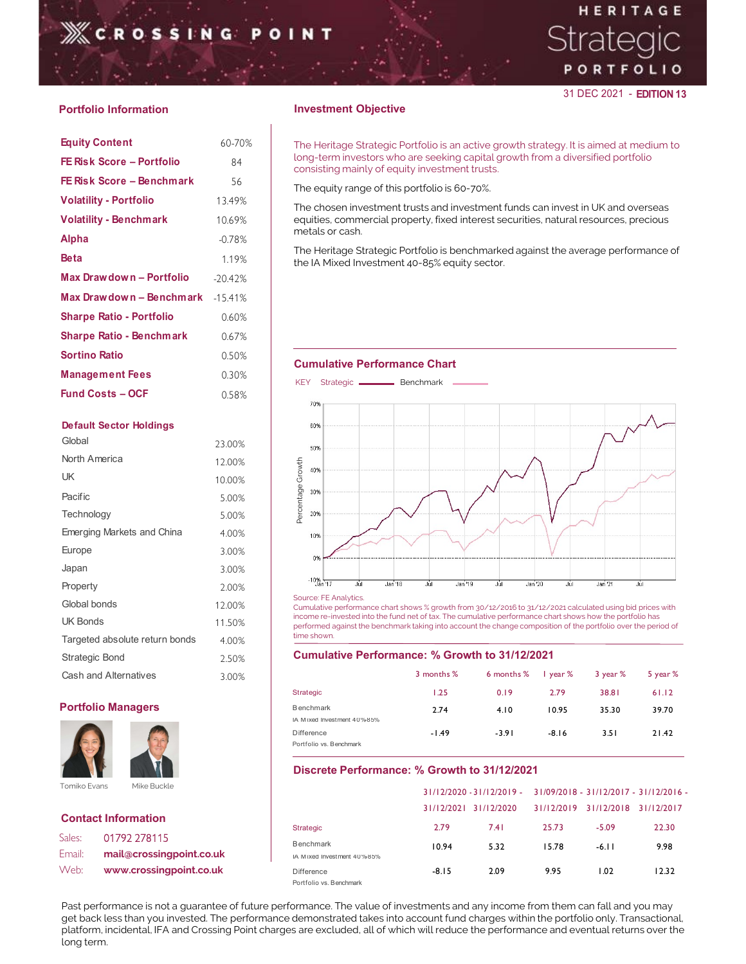# HERITAGE

## 31 DEC 2021 - EDITION 13

## Portfolio Information **Investment Objective**

| <b>EROSSING</b>                 |           |                                                                                                      |
|---------------------------------|-----------|------------------------------------------------------------------------------------------------------|
| <b>Portfolio Information</b>    |           | <b>Investment Objective</b>                                                                          |
| <b>Equity Content</b>           | 60-70%    | The Heritage Strategic Portfolio is an active growth                                                 |
| FE Risk Score - Portfolio       | 84        | long-term investors who are seeking capital growth<br>consisting mainly of equity investment trusts. |
| FE Risk Score - Benchmark       | 56        | The equity range of this portfolio is 60-70%.                                                        |
| <b>Volatility - Portfolio</b>   | 13.49%    | The chosen investment trusts and investment funds                                                    |
| <b>Volatility - Benchmark</b>   | 10.69%    | equities, commercial property, fixed interest securit                                                |
| <b>Alpha</b>                    | $-0.78%$  | metals or cash.                                                                                      |
| <b>Beta</b>                     | 1.19%     | The Heritage Strategic Portfolio is benchmarked age<br>the IA Mixed Investment 40-85% equity sector. |
| Max Drawdown - Portfolio        | $-20.42%$ |                                                                                                      |
| Max Drawdown - Benchmark        | $-15.41%$ |                                                                                                      |
| <b>Sharpe Ratio - Portfolio</b> | 0.60%     |                                                                                                      |
| <b>Sharpe Ratio - Benchmark</b> | 0.67%     |                                                                                                      |
| <b>Sortino Ratio</b>            | 0.50%     |                                                                                                      |
| <b>Management Fees</b>          | 0.30%     | <b>Cumulative Performance Chart</b><br>KEY Strategic - Benchmark                                     |
| <b>Fund Costs - OCF</b>         | 0.58%     |                                                                                                      |
|                                 |           | $70\%$ is                                                                                            |

## Default Sector Holdings **Default Sector Holdings**

| Web:                  | www.crossingpoint.co.uk        |        |                   | <b>Difference</b><br>Portfolio vs. Benchmark |     |         | $-8.15$    |        | 2.09                                                                                                                                    |
|-----------------------|--------------------------------|--------|-------------------|----------------------------------------------|-----|---------|------------|--------|-----------------------------------------------------------------------------------------------------------------------------------------|
| Email:                | mail@crossingpoint.co.uk       |        |                   | IA Mixed Investment 40%85%                   |     |         |            |        |                                                                                                                                         |
| Sales:                | 01792 278115                   |        |                   | <b>Benchmark</b>                             |     |         | 10.94      |        | 5.32                                                                                                                                    |
|                       | <b>Contact Information</b>     |        |                   | <b>Strategic</b>                             |     |         | 2.79       |        | 7.41                                                                                                                                    |
|                       |                                |        |                   |                                              |     |         |            |        | 31/12/2020 - 31/12/2019 -<br>31/12/2021 31/12/2020                                                                                      |
| Tomiko Evans          | Mike Buckle                    |        |                   |                                              |     |         |            |        | Discrete Performance: % Growth to 31/12/20                                                                                              |
|                       |                                |        |                   | <b>Difference</b><br>Portfolio vs. Benchmark |     |         | $-1.49$    |        | $-3.91$                                                                                                                                 |
|                       |                                |        |                   | IA Mixed Investment 40%85%                   |     |         | 2.74       |        | 4.10                                                                                                                                    |
|                       | <b>Portfolio Managers</b>      |        | <b>Strategic</b>  | <b>Benchmark</b>                             |     |         | 1.25       |        | 0.19                                                                                                                                    |
|                       | Cash and Alternatives          | 3.00%  |                   |                                              |     |         | 3 months % |        | 6 months                                                                                                                                |
| <b>Strategic Bond</b> |                                | 2.50%  |                   |                                              |     |         |            |        | <b>Cumulative Performance: % Growth to 31/12</b>                                                                                        |
|                       | Targeted absolute return bonds | 4.00%  |                   | time shown.                                  |     |         |            |        |                                                                                                                                         |
| <b>UK Bonds</b>       |                                | 11.50% |                   |                                              |     |         |            |        | income re-invested into the fund net of tax. The cumulative perform<br>performed against the benchmark taking into account the change c |
| Global bonds          |                                | 12.00% |                   | Source: FE Analytics.                        |     |         |            |        | Cumulative performance chart shows % growth from 30/12/2016 to                                                                          |
| Property              |                                | 2.00%  |                   | $-10\%$ $+17$                                | Jùt | Jan '18 | Jùl        | Jan 19 | JùF                                                                                                                                     |
| Japan                 |                                | 3.00%  |                   |                                              |     |         |            |        |                                                                                                                                         |
| Europe                |                                | 3.00%  |                   | 0%                                           |     |         |            |        |                                                                                                                                         |
|                       | Emerging Markets and China     | 4.00%  |                   | 10%                                          |     |         |            |        |                                                                                                                                         |
| Technology            |                                | 5.00%  |                   | 20%                                          |     |         |            |        |                                                                                                                                         |
| Pacific               |                                | 5.00%  | Percentage Growth | 30%                                          |     |         |            |        |                                                                                                                                         |
| UK                    |                                | 10.00% |                   | 40%                                          |     |         |            |        |                                                                                                                                         |
| North America         |                                | 12.00% |                   |                                              |     |         |            |        |                                                                                                                                         |
| Global                |                                | 23.00% |                   | 50%                                          |     |         |            |        |                                                                                                                                         |



| Sales: | 01792 278115             | ---------              |
|--------|--------------------------|------------------------|
|        |                          | <b>Benchmark</b>       |
| Email: | mail@crossingpoint.co.uk | IA Mixed Investment 40 |
| Web:   | www.crossingpoint.co.uk  | <b>Difference</b>      |

 $\,60\text{-}70\%$   $\,$  The Heritage Strategic Portfolio is an active growth strategy. It is aimed at medium to  $\,$ **FE Risk Score – Portfolio** 84 **Superify Apple 10** long-term investors who are seeking capital growth from a diversified portfolio **FE** Risk Score – Portfolio 84 consisting mainly of equity investment trusts.

The chosen investment trusts and investment funds can invest in UK and overseas Volatility - Portfolio 13.49% **Volatility - Benchmark** 10.69% | equities, commercial property, fixed interest securities, natural resources, precious metals or cash.

The Heritage Strategic Portfolio is benchmarked against the average performance of Beta 1.19% and Interventing the IA Mixed Investment 40-85% equity sector.

## **Cumulative Performance Chart**



### Cumulative Performance: % Growth to 31/12/2021

|                                                 | 3 months % | 6 months % | lyear%  | 3 year % | 5 year $%$ |
|-------------------------------------------------|------------|------------|---------|----------|------------|
| Strategic                                       | 1.25       | 0.19       | 2.79    | 38.81    | 61.12      |
| <b>Benchmark</b><br>IA M ixed Investment 40%85% | 2.74       | 4.10       | 10.95   | 35.30    | 39.70      |
| Difference<br>Portfolio vs. Benchmark           | $-1.49$    | $-3.91$    | $-8.16$ | 3.51     | 21.42      |

|                                                              | 5.00%  | per<br>20%                                                                                                                                                                                                                  |            |                                                                  |               |                                  |          |
|--------------------------------------------------------------|--------|-----------------------------------------------------------------------------------------------------------------------------------------------------------------------------------------------------------------------------|------------|------------------------------------------------------------------|---------------|----------------------------------|----------|
| Emerging Markets and China                                   | 4.00%  | 10%                                                                                                                                                                                                                         |            |                                                                  |               |                                  |          |
| Europe                                                       | 3.00%  |                                                                                                                                                                                                                             |            |                                                                  |               |                                  |          |
| Japan                                                        | 3.00%  |                                                                                                                                                                                                                             |            |                                                                  |               |                                  |          |
| Property                                                     | 2.00%  | $-10\%$ <sub>an 17</sub><br>Jan <sup>'</sup> 18                                                                                                                                                                             | Jan 19     |                                                                  | Jan 20<br>Jül | Jan 21                           | JùL      |
| Global bonds                                                 | 12.00% | Source: FE Analytics.<br>Cumulative performance chart shows % growth from 30/12/2016 to 31/12/2021 calculated using bid prices with                                                                                         |            |                                                                  |               |                                  |          |
| <b>UK Bonds</b>                                              | 11.50% | income re-invested into the fund net of tax. The cumulative performance chart shows how the portfolio has<br>performed against the benchmark taking into account the change composition of the portfolio over the period of |            |                                                                  |               |                                  |          |
| Targeted absolute return bonds                               | 4.00%  | time shown.                                                                                                                                                                                                                 |            |                                                                  |               |                                  |          |
| Strategic Bond                                               | 2.50%  | Cumulative Performance: % Growth to 31/12/2021                                                                                                                                                                              |            |                                                                  |               |                                  |          |
| Cash and Alternatives                                        | 3.00%  |                                                                                                                                                                                                                             | 3 months % | 6 months %                                                       | year %        | 3 year %                         | 5 year % |
|                                                              |        | Strategic                                                                                                                                                                                                                   | 1.25       | 0.19                                                             | 2.79          | 38.81                            | 61.12    |
| <b>Portfolio Managers</b>                                    |        | <b>B</b> enchmark<br>IA Mixed Investment 40%85%                                                                                                                                                                             | 2.74       | 4.10                                                             | 10.95         | 35.30                            | 39.70    |
|                                                              |        | Difference<br>Portfolio vs. Benchmark                                                                                                                                                                                       | $-1.49$    | $-3.91$                                                          | $-8.16$       | 3.51                             | $21.42$  |
|                                                              |        | Discrete Performance: % Growth to 31/12/2021                                                                                                                                                                                |            |                                                                  |               |                                  |          |
| Tomiko Evans<br>Mike Buckle                                  |        |                                                                                                                                                                                                                             |            | 31/12/2020 - 31/12/2019 - 31/09/2018 - 31/12/2017 - 31/12/2016 - |               |                                  |          |
|                                                              |        |                                                                                                                                                                                                                             |            | 31/12/2021 31/12/2020                                            |               | 31/12/2019 31/12/2018 31/12/2017 |          |
| <b>Contact Information</b>                                   |        | Strategic                                                                                                                                                                                                                   | 2.79       | 7.41                                                             | 25.73         | $-5.09$                          | 22.30    |
| Sales:<br>01792 278115<br>Email:<br>mail@crossingpoint.co.uk |        | Benchmark<br>IA Mixed Investment 40%85%                                                                                                                                                                                     | 10.94      | 5.32                                                             | 15.78         | $-6.11$                          | 9.98     |
| Neb:<br>www.crossingpoint.co.uk                              |        | <b>Difference</b><br>Portfolio vs. Benchmark                                                                                                                                                                                | $-8.15$    | 2.09                                                             | 9.95          | 1.02                             | 12.32    |